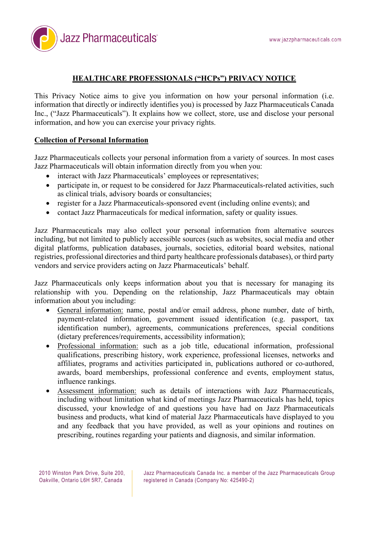

# **HEALTHCARE PROFESSIONALS ("HCPs") PRIVACY NOTICE**

This Privacy Notice aims to give you information on how your personal information (i.e. information that directly or indirectly identifies you) is processed by Jazz Pharmaceuticals Canada Inc., ("Jazz Pharmaceuticals"). It explains how we collect, store, use and disclose your personal information, and how you can exercise your privacy rights.

### **Collection of Personal Information**

Jazz Pharmaceuticals collects your personal information from a variety of sources. In most cases Jazz Pharmaceuticals will obtain information directly from you when you:

- interact with Jazz Pharmaceuticals' employees or representatives;
- participate in, or request to be considered for Jazz Pharmaceuticals-related activities, such as clinical trials, advisory boards or consultancies;
- register for a Jazz Pharmaceuticals-sponsored event (including online events); and
- contact Jazz Pharmaceuticals for medical information, safety or quality issues.

Jazz Pharmaceuticals may also collect your personal information from alternative sources including, but not limited to publicly accessible sources (such as websites, social media and other digital platforms, publication databases, journals, societies, editorial board websites, national registries, professional directories and third party healthcare professionals databases), or third party vendors and service providers acting on Jazz Pharmaceuticals' behalf.

Jazz Pharmaceuticals only keeps information about you that is necessary for managing its relationship with you. Depending on the relationship, Jazz Pharmaceuticals may obtain information about you including:

- General information: name, postal and/or email address, phone number, date of birth, payment-related information, government issued identification (e.g. passport, tax identification number), agreements, communications preferences, special conditions (dietary preferences/requirements, accessibility information);
- Professional information: such as a job title, educational information, professional qualifications, prescribing history, work experience, professional licenses, networks and affiliates, programs and activities participated in, publications authored or co-authored, awards, board memberships, professional conference and events, employment status, influence rankings.
- Assessment information: such as details of interactions with Jazz Pharmaceuticals, including without limitation what kind of meetings Jazz Pharmaceuticals has held, topics discussed, your knowledge of and questions you have had on Jazz Pharmaceuticals business and products, what kind of material Jazz Pharmaceuticals have displayed to you and any feedback that you have provided, as well as your opinions and routines on prescribing, routines regarding your patients and diagnosis, and similar information.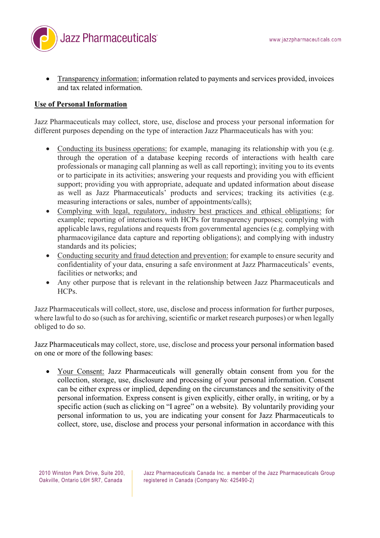

• Transparency information: information related to payments and services provided, invoices and tax related information.

## **Use of Personal Information**

Jazz Pharmaceuticals may collect, store, use, disclose and process your personal information for different purposes depending on the type of interaction Jazz Pharmaceuticals has with you:

- Conducting its business operations: for example, managing its relationship with you (e.g. through the operation of a database keeping records of interactions with health care professionals or managing call planning as well as call reporting); inviting you to its events or to participate in its activities; answering your requests and providing you with efficient support; providing you with appropriate, adequate and updated information about disease as well as Jazz Pharmaceuticals' products and services; tracking its activities (e.g. measuring interactions or sales, number of appointments/calls);
- Complying with legal, regulatory, industry best practices and ethical obligations: for example; reporting of interactions with HCPs for transparency purposes; complying with applicable laws, regulations and requests from governmental agencies (e.g. complying with pharmacovigilance data capture and reporting obligations); and complying with industry standards and its policies;
- Conducting security and fraud detection and prevention: for example to ensure security and confidentiality of your data, ensuring a safe environment at Jazz Pharmaceuticals' events, facilities or networks; and
- Any other purpose that is relevant in the relationship between Jazz Pharmaceuticals and HCPs.

Jazz Pharmaceuticals will collect, store, use, disclose and process information for further purposes, where lawful to do so (such as for archiving, scientific or market research purposes) or when legally obliged to do so.

Jazz Pharmaceuticals may collect, store, use, disclose and process your personal information based on one or more of the following bases:

• Your Consent: Jazz Pharmaceuticals will generally obtain consent from you for the collection, storage, use, disclosure and processing of your personal information. Consent can be either express or implied, depending on the circumstances and the sensitivity of the personal information. Express consent is given explicitly, either orally, in writing, or by a specific action (such as clicking on "I agree" on a website). By voluntarily providing your personal information to us, you are indicating your consent for Jazz Pharmaceuticals to collect, store, use, disclose and process your personal information in accordance with this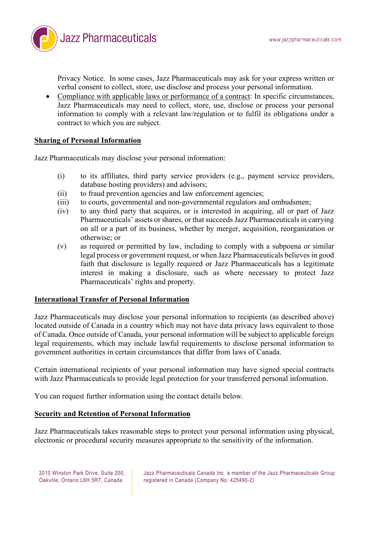Jazz Pharmaceuticals<sup>®</sup>

Privacy Notice. In some cases, Jazz Pharmaceuticals may ask for your express written or verbal consent to collect, store, use disclose and process your personal information.

• Compliance with applicable laws or performance of a contract: In specific circumstances, Jazz Pharmaceuticals may need to collect, store, use, disclose or process your personal information to comply with a relevant law/regulation or to fulfil its obligations under a contract to which you are subject.

### **Sharing of Personal Information**

Jazz Pharmaceuticals may disclose your personal information:

- (i) to its affiliates, third party service providers (e.g., payment service providers, database hosting providers) and advisors;
- (ii) to fraud prevention agencies and law enforcement agencies;
- (iii) to courts, governmental and non-governmental regulators and ombudsmen;
- (iv) to any third party that acquires, or is interested in acquiring, all or part of Jazz Pharmaceuticals' assets or shares, or that succeeds Jazz Pharmaceuticals in carrying on all or a part of its business, whether by merger, acquisition, reorganization or otherwise; or
- (v) as required or permitted by law, including to comply with a subpoena or similar legal process or government request, or when Jazz Pharmaceuticals believes in good faith that disclosure is legally required or Jazz Pharmaceuticals has a legitimate interest in making a disclosure, such as where necessary to protect Jazz Pharmaceuticals' rights and property.

#### **International Transfer of Personal Information**

Jazz Pharmaceuticals may disclose your personal information to recipients (as described above) located outside of Canada in a country which may not have data privacy laws equivalent to those of Canada. Once outside of Canada, your personal information will be subject to applicable foreign legal requirements, which may include lawful requirements to disclose personal information to government authorities in certain circumstances that differ from laws of Canada.

Certain international recipients of your personal information may have signed special contracts with Jazz Pharmaceuticals to provide legal protection for your transferred personal information.

You can request further information using the contact details below.

#### **Security and Retention of Personal Information**

Jazz Pharmaceuticals takes reasonable steps to protect your personal information using physical, electronic or procedural security measures appropriate to the sensitivity of the information.